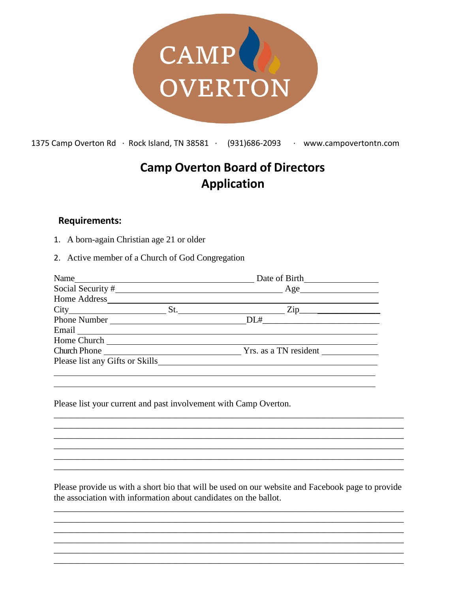

1375 Camp Overton Rd ∙ Rock Island, TN 38581 ∙ (931)686-2093 ∙ www.campovertontn.com

## **Camp Overton Board of Directors Application**

## **Requirements:**

- 1. A born-again Christian age 21 or older
- 2. Active member of a Church of God Congregation

| Name                                                                       |
|----------------------------------------------------------------------------|
|                                                                            |
|                                                                            |
| $St.$ $\qquad \qquad \qquad \qquad \qquad \qquad \text{Zip} \qquad \qquad$ |
| Phone Number                                                               |
|                                                                            |
|                                                                            |
| Church Phone Yrs. as a TN resident                                         |
| Please list any Gifts or Skills                                            |
|                                                                            |
|                                                                            |

Please list your current and past involvement with Camp Overton.

Please provide us with a short bio that will be used on our website and Facebook page to provide the association with information about candidates on the ballot.

\_\_\_\_\_\_\_\_\_\_\_\_\_\_\_\_\_\_\_\_\_\_\_\_\_\_\_\_\_\_\_\_\_\_\_\_\_\_\_\_\_\_\_\_\_\_\_\_\_\_\_\_\_\_\_\_\_\_\_\_\_\_\_\_\_\_\_\_\_\_\_\_\_\_\_\_\_\_ \_\_\_\_\_\_\_\_\_\_\_\_\_\_\_\_\_\_\_\_\_\_\_\_\_\_\_\_\_\_\_\_\_\_\_\_\_\_\_\_\_\_\_\_\_\_\_\_\_\_\_\_\_\_\_\_\_\_\_\_\_\_\_\_\_\_\_\_\_\_\_\_\_\_\_\_\_\_ \_\_\_\_\_\_\_\_\_\_\_\_\_\_\_\_\_\_\_\_\_\_\_\_\_\_\_\_\_\_\_\_\_\_\_\_\_\_\_\_\_\_\_\_\_\_\_\_\_\_\_\_\_\_\_\_\_\_\_\_\_\_\_\_\_\_\_\_\_\_\_\_\_\_\_\_\_\_ \_\_\_\_\_\_\_\_\_\_\_\_\_\_\_\_\_\_\_\_\_\_\_\_\_\_\_\_\_\_\_\_\_\_\_\_\_\_\_\_\_\_\_\_\_\_\_\_\_\_\_\_\_\_\_\_\_\_\_\_\_\_\_\_\_\_\_\_\_\_\_\_\_\_\_\_\_\_ \_\_\_\_\_\_\_\_\_\_\_\_\_\_\_\_\_\_\_\_\_\_\_\_\_\_\_\_\_\_\_\_\_\_\_\_\_\_\_\_\_\_\_\_\_\_\_\_\_\_\_\_\_\_\_\_\_\_\_\_\_\_\_\_\_\_\_\_\_\_\_\_\_\_\_\_\_\_ \_\_\_\_\_\_\_\_\_\_\_\_\_\_\_\_\_\_\_\_\_\_\_\_\_\_\_\_\_\_\_\_\_\_\_\_\_\_\_\_\_\_\_\_\_\_\_\_\_\_\_\_\_\_\_\_\_\_\_\_\_\_\_\_\_\_\_\_\_\_\_\_\_\_\_\_\_\_

\_\_\_\_\_\_\_\_\_\_\_\_\_\_\_\_\_\_\_\_\_\_\_\_\_\_\_\_\_\_\_\_\_\_\_\_\_\_\_\_\_\_\_\_\_\_\_\_\_\_\_\_\_\_\_\_\_\_\_\_\_\_\_\_\_\_\_\_\_\_\_\_\_\_\_\_\_\_ \_\_\_\_\_\_\_\_\_\_\_\_\_\_\_\_\_\_\_\_\_\_\_\_\_\_\_\_\_\_\_\_\_\_\_\_\_\_\_\_\_\_\_\_\_\_\_\_\_\_\_\_\_\_\_\_\_\_\_\_\_\_\_\_\_\_\_\_\_\_\_\_\_\_\_\_\_\_ \_\_\_\_\_\_\_\_\_\_\_\_\_\_\_\_\_\_\_\_\_\_\_\_\_\_\_\_\_\_\_\_\_\_\_\_\_\_\_\_\_\_\_\_\_\_\_\_\_\_\_\_\_\_\_\_\_\_\_\_\_\_\_\_\_\_\_\_\_\_\_\_\_\_\_\_\_\_ \_\_\_\_\_\_\_\_\_\_\_\_\_\_\_\_\_\_\_\_\_\_\_\_\_\_\_\_\_\_\_\_\_\_\_\_\_\_\_\_\_\_\_\_\_\_\_\_\_\_\_\_\_\_\_\_\_\_\_\_\_\_\_\_\_\_\_\_\_\_\_\_\_\_\_\_\_\_ \_\_\_\_\_\_\_\_\_\_\_\_\_\_\_\_\_\_\_\_\_\_\_\_\_\_\_\_\_\_\_\_\_\_\_\_\_\_\_\_\_\_\_\_\_\_\_\_\_\_\_\_\_\_\_\_\_\_\_\_\_\_\_\_\_\_\_\_\_\_\_\_\_\_\_\_\_\_